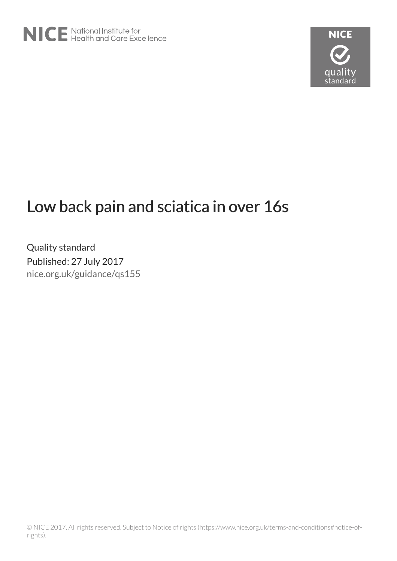

# Low back pain and sciatica in over 16s

Quality standard Published: 27 July 2017 [nice.org.uk/guidance/qs155](http://nice.org.uk/guidance/qs155)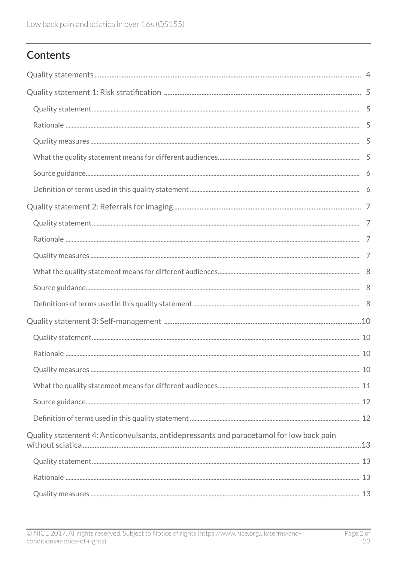# Contents

| Quality statement 4: Anticonvulsants, antidepressants and paracetamol for low back pain |  |
|-----------------------------------------------------------------------------------------|--|
|                                                                                         |  |
|                                                                                         |  |
|                                                                                         |  |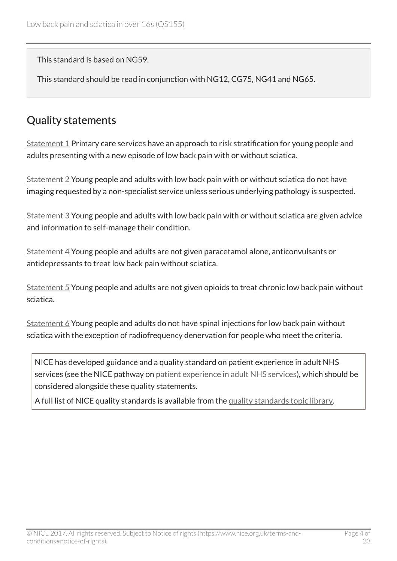This standard is based on NG59.

This standard should be read in conjunction with NG12, CG75, NG41 and NG65.

# <span id="page-3-0"></span>Quality statements

[Statement 1](http://live-publications.nice.org.uk/quality-statement-1-risk-stratification#quality-statement-1-risk-stratification) Primary care services have an approach to risk stratification for young people and adults presenting with a new episode of low back pain with or without sciatica.

[Statement 2](http://live-publications.nice.org.uk/quality-statement-2-referrals-for-imaging#quality-statement-2-referrals-for-imaging) Young people and adults with low back pain with or without sciatica do not have imaging requested by a non-specialist service unless serious underlying pathology is suspected.

 $Statement 3$  Young people and adults with low back pain with or without sciatica are given advice and information to self-manage their condition.

[Statement 4](http://live-publications.nice.org.uk/quality-statement-4-anticonvulsants-antidepressants-and-paracetamol-for-low-back-pain-without#quality-statement-4-anticonvulsants-antidepressants-and-paracetamol-for-low-back-pain-without) Young people and adults are not given paracetamol alone, anticonvulsants or antidepressants to treat low back pain without sciatica.

[Statement 5](http://live-publications.nice.org.uk/quality-statement-5-opioids-for-chronic-low-back-pain-without-sciatica#quality-statement-5-opioids-for-chronic-low-back-pain-without-sciatica) Young people and adults are not given opioids to treat chronic low back pain without sciatica.

Statement  $6$  Young people and adults do not have spinal injections for low back pain without sciatica with the exception of radiofrequency denervation for people who meet the criteria.

NICE has developed guidance and a quality standard on patient experience in adult NHS services (see the NICE pathway on [patient experience in adult NHS services](http://pathways.nice.org.uk/pathways/patient-experience-in-adult-nhs-services)), which should be considered alongside these quality statements.

A full list of NICE quality standards is available from the [quality standards topic library.](http://www.nice.org.uk/Standards-and-Indicators/Developing-NICE-quality-standards-/Quality-standards-topic-library)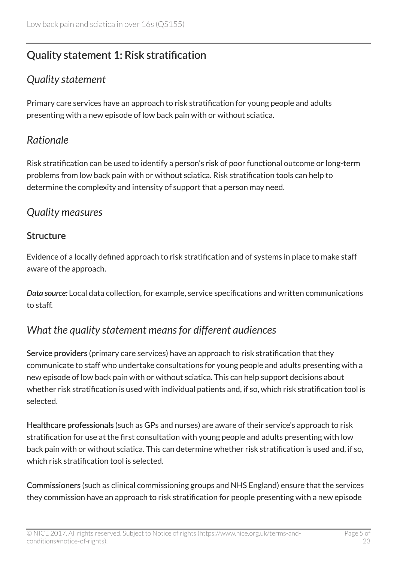# <span id="page-4-0"></span>Quality statement 1: Risk stratification

# <span id="page-4-1"></span>*Quality statement*

Primary care services have an approach to risk stratification for young people and adults presenting with a new episode of low back pain with or without sciatica.

# <span id="page-4-2"></span>*Rationale*

Risk stratification can be used to identify a person's risk of poor functional outcome or long-term problems from low back pain with or without sciatica. Risk stratification tools can help to determine the complexity and intensity of support that a person may need.

### <span id="page-4-3"></span>*Quality measures*

#### Structure

Evidence of a locally defined approach to risk stratification and of systems in place to make staff aware of the approach.

*Data source:* Local data collection, for example, service specifications and written communications to staff.

# <span id="page-4-4"></span>*What the quality statement means for different audiences*

Service providers (primary care services) have an approach to risk stratification that they communicate to staff who undertake consultations for young people and adults presenting with a new episode of low back pain with or without sciatica. This can help support decisions about whether risk stratification is used with individual patients and, if so, which risk stratification tool is selected.

Healthcare professionals (such as GPs and nurses) are aware of their service's approach to risk stratification for use at the first consultation with young people and adults presenting with low back pain with or without sciatica. This can determine whether risk stratification is used and, if so, which risk stratification tool is selected.

Commissioners (such as clinical commissioning groups and NHS England) ensure that the services they commission have an approach to risk stratification for people presenting with a new episode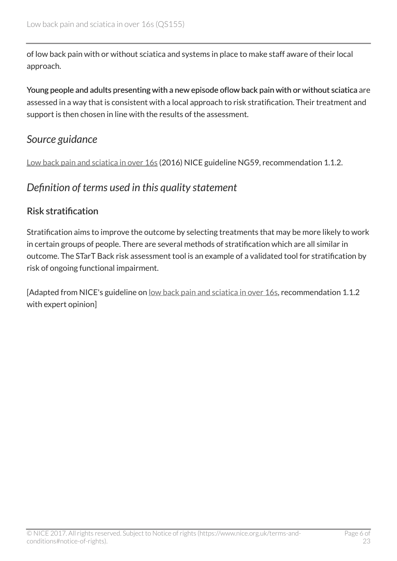of low back pain with or without sciatica and systems in place to make staff aware of their local approach.

Young people and adults presenting with a new episode oflow back pain with or without sciatica are assessed in a way that is consistent with a local approach to risk stratification. Their treatment and support is then chosen in line with the results of the assessment.

### <span id="page-5-0"></span>*Source guidance*

[Low back pain and sciatica in over 16s](http://www.nice.org.uk/guidance/ng59) (2016) NICE guideline NG59, recommendation 1.1.2.

### <span id="page-5-1"></span>*Definition of terms used in this quality statement*

#### Risk stratification

Stratification aims to improve the outcome by selecting treatments that may be more likely to work in certain groups of people. There are several methods of stratification which are all similar in outcome. The STarT Back risk assessment tool is an example of a validated tool for stratification by risk of ongoing functional impairment.

[Adapted from NICE's guideline on <u>[low back pain and sciatica in over 16s](http://www.nice.org.uk/guidance/ng59)</u>, recommendation 1.1.2 with expert opinion]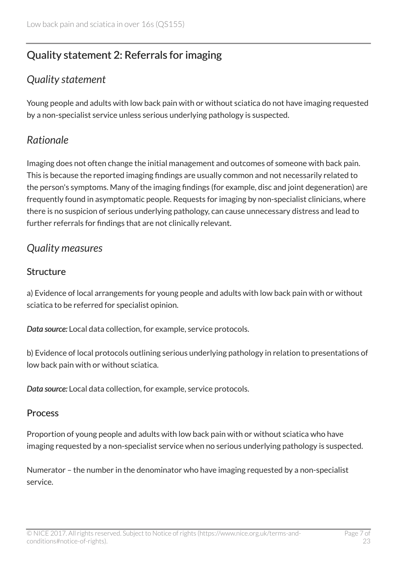# <span id="page-6-0"></span>Quality statement 2: Referrals for imaging

# <span id="page-6-1"></span>*Quality statement*

Young people and adults with low back pain with or without sciatica do not have imaging requested by a non-specialist service unless serious underlying pathology is suspected.

# <span id="page-6-2"></span>*Rationale*

Imaging does not often change the initial management and outcomes of someone with back pain. This is because the reported imaging findings are usually common and not necessarily related to the person's symptoms. Many of the imaging findings (for example, disc and joint degeneration) are frequently found in asymptomatic people. Requests for imaging by non-specialist clinicians, where there is no suspicion of serious underlying pathology, can cause unnecessary distress and lead to further referrals for findings that are not clinically relevant.

# <span id="page-6-3"></span>*Quality measures*

#### **Structure**

a) Evidence of local arrangements for young people and adults with low back pain with or without sciatica to be referred for specialist opinion.

*Data source:* Local data collection, for example, service protocols.

b) Evidence of local protocols outlining serious underlying pathology in relation to presentations of low back pain with or without sciatica.

*Data source:* Local data collection, for example, service protocols.

#### Process

Proportion of young people and adults with low back pain with or without sciatica who have imaging requested by a non-specialist service when no serious underlying pathology is suspected.

Numerator – the number in the denominator who have imaging requested by a non-specialist service.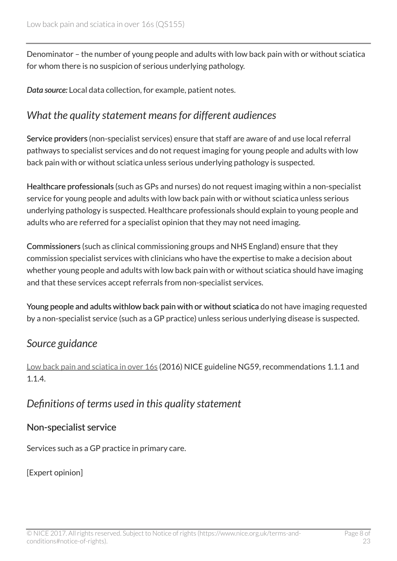Denominator – the number of young people and adults with low back pain with or without sciatica for whom there is no suspicion of serious underlying pathology.

*Data source:* Local data collection, for example, patient notes.

### <span id="page-7-0"></span>*What the quality statement means for different audiences*

Service providers (non-specialist services) ensure that staff are aware of and use local referral pathways to specialist services and do not request imaging for young people and adults with low back pain with or without sciatica unless serious underlying pathology is suspected.

Healthcare professionals (such as GPs and nurses) do not request imaging within a non-specialist service for young people and adults with low back pain with or without sciatica unless serious underlying pathology is suspected. Healthcare professionals should explain to young people and adults who are referred for a specialist opinion that they may not need imaging.

Commissioners (such as clinical commissioning groups and NHS England) ensure that they commission specialist services with clinicians who have the expertise to make a decision about whether young people and adults with low back pain with or without sciatica should have imaging and that these services accept referrals from non-specialist services.

Young people and adults withlow back pain with or without sciatica do not have imaging requested by a non-specialist service (such as a GP practice) unless serious underlying disease is suspected.

### <span id="page-7-1"></span>*Source guidance*

[Low back pain and sciatica in over 16s](http://www.nice.org.uk/guidance/ng59) (2016) NICE guideline NG59, recommendations 1.1.1 and 1.1.4.

### <span id="page-7-2"></span>*Definitions of terms used in this quality statement*

#### Non-specialist service

Services such as a GP practice in primary care.

[Expert opinion]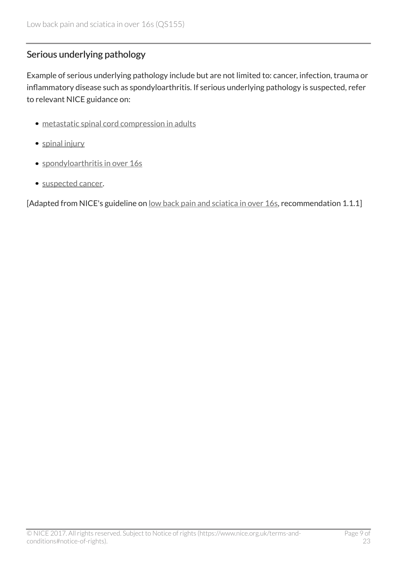#### Serious underlying pathology

Example of serious underlying pathology include but are not limited to: cancer, infection, trauma or inflammatory disease such as spondyloarthritis. If serious underlying pathology is suspected, refer to relevant NICE guidance on:

- [metastatic spinal cord compression in adults](http://www.nice.org.uk/guidance/cg75)
- [spinal injury](http://www.nice.org.uk/guidance/ng41)
- [spondyloarthritis in over 16s](http://www.nice.org.uk/guidance/ng65)
- · [suspected cancer.](http://www.nice.org.uk/guidance/ng12)

[Adapted from NICE's guideline on [low back pain and sciatica in over 16s](http://www.nice.org.uk/guidance/ng59), recommendation 1.1.1]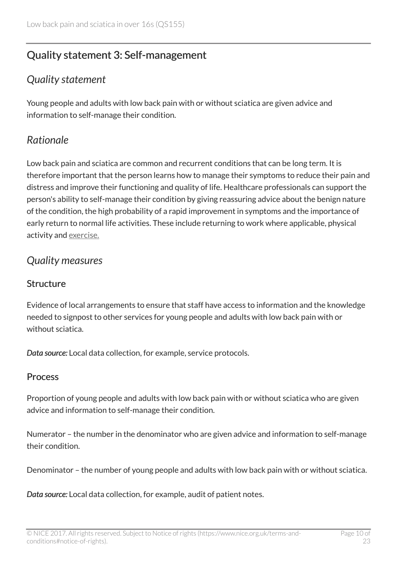# <span id="page-9-0"></span>Quality statement 3: Self-management

## <span id="page-9-1"></span>*Quality statement*

Young people and adults with low back pain with or without sciatica are given advice and information to self-manage their condition.

# <span id="page-9-2"></span>*Rationale*

Low back pain and sciatica are common and recurrent conditions that can be long term. It is therefore important that the person learns how to manage their symptoms to reduce their pain and distress and improve their functioning and quality of life. Healthcare professionals can support the person's ability to self-manage their condition by giving reassuring advice about the benign nature of the condition, the high probability of a rapid improvement in symptoms and the importance of early return to normal life activities. These include returning to work where applicable, physical activity and [exercise.](https://www.nice.org.uk/guidance/ng59/informationforpublic)

# <span id="page-9-3"></span>*Quality measures*

#### **Structure**

Evidence of local arrangements to ensure that staff have access to information and the knowledge needed to signpost to other services for young people and adults with low back pain with or without sciatica.

*Data source:* Local data collection, for example, service protocols.

#### Process

Proportion of young people and adults with low back pain with or without sciatica who are given advice and information to self-manage their condition.

Numerator – the number in the denominator who are given advice and information to self-manage their condition.

Denominator – the number of young people and adults with low back pain with or without sciatica.

*Data source:* Local data collection, for example, audit of patient notes.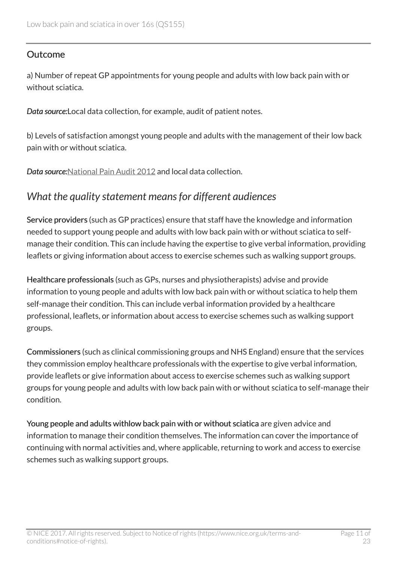#### **Outcome**

a) Number of repeat GP appointments for young people and adults with low back pain with or without sciatica.

*Data source:*Local data collection, for example, audit of patient notes.

b) Levels of satisfaction amongst young people and adults with the management of their low back pain with or without sciatica.

*Data source:*[National Pain Audit 2012](http://www.nationalpainaudit.org/media/files/NationalPainAudit-2012.pdf) and local data collection.

### <span id="page-10-0"></span>*What the quality statement means for different audiences*

Service providers (such as GP practices) ensure that staff have the knowledge and information needed to support young people and adults with low back pain with or without sciatica to selfmanage their condition. This can include having the expertise to give verbal information, providing leaflets or giving information about access to exercise schemes such as walking support groups.

Healthcare professionals (such as GPs, nurses and physiotherapists) advise and provide information to young people and adults with low back pain with or without sciatica to help them self-manage their condition. This can include verbal information provided by a healthcare professional, leaflets, or information about access to exercise schemes such as walking support groups.

Commissioners (such as clinical commissioning groups and NHS England) ensure that the services they commission employ healthcare professionals with the expertise to give verbal information, provide leaflets or give information about access to exercise schemes such as walking support groups for young people and adults with low back pain with or without sciatica to self-manage their condition.

Young people and adults withlow back pain with or without sciatica are given advice and information to manage their condition themselves. The information can cover the importance of continuing with normal activities and, where applicable, returning to work and access to exercise schemes such as walking support groups.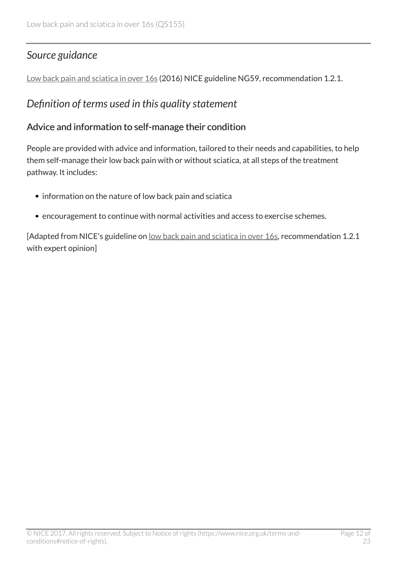### <span id="page-11-0"></span>*Source guidance*

[Low back pain and sciatica in over 16s](http://www.nice.org.uk/guidance/ng59) (2016) NICE guideline NG59, recommendation 1.2.1.

### <span id="page-11-1"></span>*Definition of terms used in this quality statement*

#### Advice and information to self-manage their condition

People are provided with advice and information, tailored to their needs and capabilities, to help them self-manage their low back pain with or without sciatica, at all steps of the treatment pathway. It includes:

- information on the nature of low back pain and sciatica
- encouragement to continue with normal activities and access to exercise schemes.

[Adapted from NICE's guideline on [low back pain and sciatica in over 16s](http://www.nice.org.uk/guidance/ng59), recommendation 1.2.1 with expert opinion]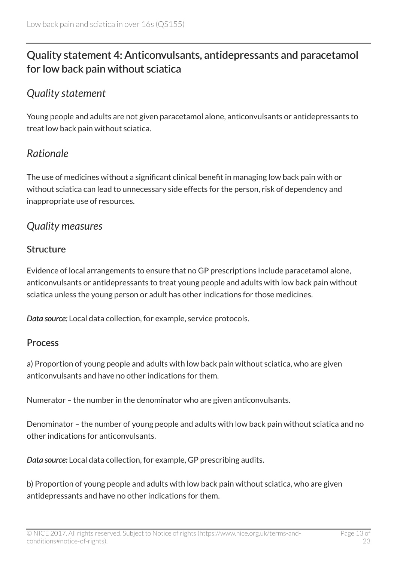# <span id="page-12-0"></span>Quality statement 4: Anticonvulsants, antidepressants and paracetamol for low back pain without sciatica

# <span id="page-12-1"></span>*Quality statement*

Young people and adults are not given paracetamol alone, anticonvulsants or antidepressants to treat low back pain without sciatica.

# <span id="page-12-2"></span>*Rationale*

The use of medicines without a significant clinical benefit in managing low back pain with or without sciatica can lead to unnecessary side effects for the person, risk of dependency and inappropriate use of resources.

# <span id="page-12-3"></span>*Quality measures*

#### **Structure**

Evidence of local arrangements to ensure that no GP prescriptions include paracetamol alone, anticonvulsants or antidepressants to treat young people and adults with low back pain without sciatica unless the young person or adult has other indications for those medicines.

*Data source:* Local data collection, for example, service protocols.

#### Process

a) Proportion of young people and adults with low back pain without sciatica, who are given anticonvulsants and have no other indications for them.

Numerator – the number in the denominator who are given anticonvulsants.

Denominator – the number of young people and adults with low back pain without sciatica and no other indications for anticonvulsants.

*Data source:* Local data collection, for example, GP prescribing audits.

b) Proportion of young people and adults with low back pain without sciatica, who are given antidepressants and have no other indications for them.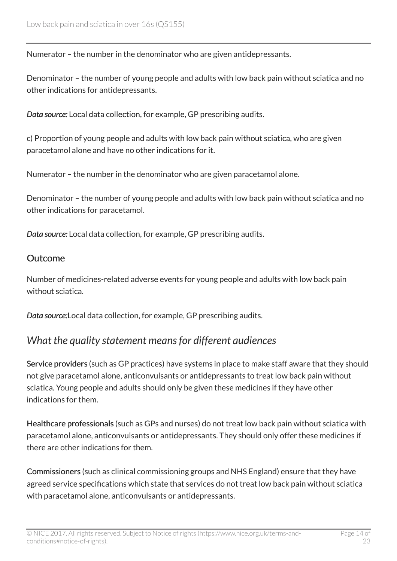Numerator – the number in the denominator who are given antidepressants.

Denominator – the number of young people and adults with low back pain without sciatica and no other indications for antidepressants.

*Data source:* Local data collection, for example, GP prescribing audits.

c) Proportion of young people and adults with low back pain without sciatica, who are given paracetamol alone and have no other indications for it.

Numerator – the number in the denominator who are given paracetamol alone.

Denominator – the number of young people and adults with low back pain without sciatica and no other indications for paracetamol.

*Data source:* Local data collection, for example, GP prescribing audits.

#### Outcome

Number of medicines-related adverse events for young people and adults with low back pain without sciatica.

*Data source:*Local data collection, for example, GP prescribing audits.

### <span id="page-13-0"></span>*What the quality statement means for different audiences*

Service providers (such as GP practices) have systems in place to make staff aware that they should not give paracetamol alone, anticonvulsants or antidepressants to treat low back pain without sciatica. Young people and adults should only be given these medicines if they have other indications for them.

Healthcare professionals (such as GPs and nurses) do not treat low back pain without sciatica with paracetamol alone, anticonvulsants or antidepressants. They should only offer these medicines if there are other indications for them.

Commissioners (such as clinical commissioning groups and NHS England) ensure that they have agreed service specifications which state that services do not treat low back pain without sciatica with paracetamol alone, anticonvulsants or antidepressants.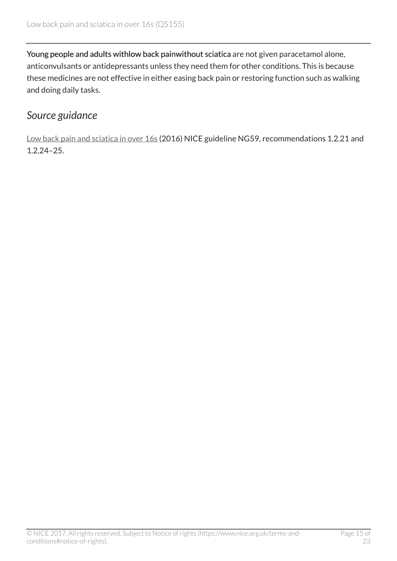Young people and adults withlow back painwithout sciatica are not given paracetamol alone, anticonvulsants or antidepressants unless they need them for other conditions. This is because these medicines are not effective in either easing back pain or restoring function such as walking and doing daily tasks.

## <span id="page-14-0"></span>*Source guidance*

[Low back pain and sciatica in over 16s](http://www.nice.org.uk/guidance/ng59) (2016) NICE guideline NG59, recommendations 1.2.21 and 1.2.24–25.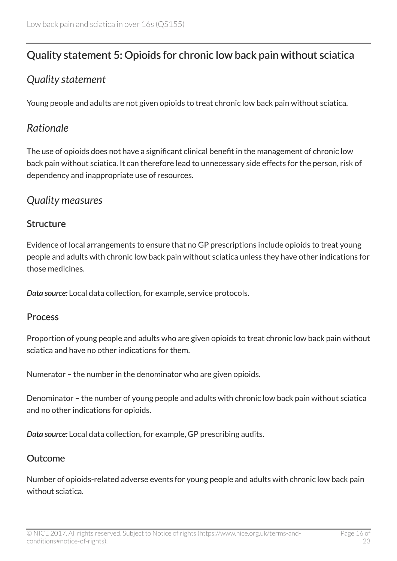# <span id="page-15-0"></span>Quality statement 5: Opioids for chronic low back pain without sciatica

### <span id="page-15-1"></span>*Quality statement*

Young people and adults are not given opioids to treat chronic low back pain without sciatica.

## <span id="page-15-2"></span>*Rationale*

The use of opioids does not have a significant clinical benefit in the management of chronic low back pain without sciatica. It can therefore lead to unnecessary side effects for the person, risk of dependency and inappropriate use of resources.

### <span id="page-15-3"></span>*Quality measures*

#### **Structure**

Evidence of local arrangements to ensure that no GP prescriptions include opioids to treat young people and adults with chronic low back pain without sciatica unless they have other indications for those medicines.

*Data source:* Local data collection, for example, service protocols.

#### Process

Proportion of young people and adults who are given opioids to treat chronic low back pain without sciatica and have no other indications for them.

Numerator – the number in the denominator who are given opioids.

Denominator – the number of young people and adults with chronic low back pain without sciatica and no other indications for opioids.

*Data source:* Local data collection, for example, GP prescribing audits.

#### **Outcome**

Number of opioids-related adverse events for young people and adults with chronic low back pain without sciatica.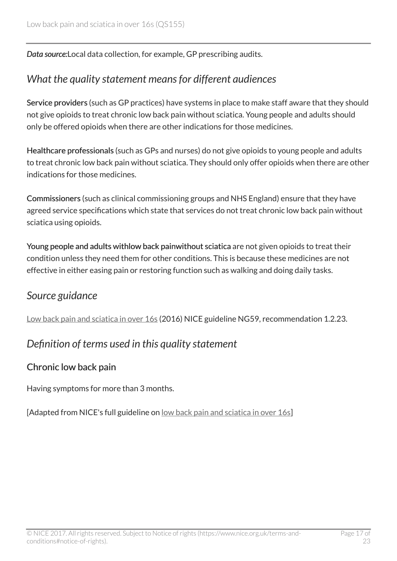*Data source:*Local data collection, for example, GP prescribing audits.

# <span id="page-16-0"></span>*What the quality statement means for different audiences*

Service providers (such as GP practices) have systems in place to make staff aware that they should not give opioids to treat chronic low back pain without sciatica. Young people and adults should only be offered opioids when there are other indications for those medicines.

Healthcare professionals (such as GPs and nurses) do not give opioids to young people and adults to treat chronic low back pain without sciatica. They should only offer opioids when there are other indications for those medicines.

Commissioners (such as clinical commissioning groups and NHS England) ensure that they have agreed service specifications which state that services do not treat chronic low back pain without sciatica using opioids.

Young people and adults withlow back painwithout sciatica are not given opioids to treat their condition unless they need them for other conditions. This is because these medicines are not effective in either easing pain or restoring function such as walking and doing daily tasks.

### <span id="page-16-1"></span>*Source guidance*

[Low back pain and sciatica in over 16s](http://www.nice.org.uk/guidance/ng59) (2016) NICE guideline NG59, recommendation 1.2.23.

### <span id="page-16-2"></span>*Definition of terms used in this quality statement*

#### Chronic low back pain

Having symptoms for more than 3 months.

[Adapted from NICE's full guideline on [low back pain and sciatica in over 16s](https://www.nice.org.uk/guidance/ng59/evidence)]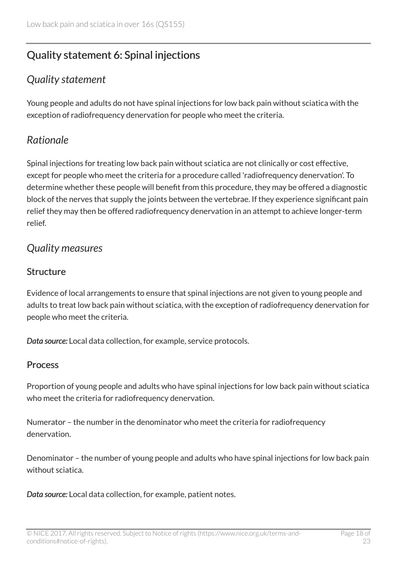# <span id="page-17-0"></span>Quality statement 6: Spinal injections

# <span id="page-17-1"></span>*Quality statement*

Young people and adults do not have spinal injections for low back pain without sciatica with the exception of radiofrequency denervation for people who meet the criteria.

# <span id="page-17-2"></span>*Rationale*

Spinal injections for treating low back pain without sciatica are not clinically or cost effective, except for people who meet the criteria for a procedure called 'radiofrequency denervation'. To determine whether these people will benefit from this procedure, they may be offered a diagnostic block of the nerves that supply the joints between the vertebrae. If they experience significant pain relief they may then be offered radiofrequency denervation in an attempt to achieve longer-term relief.

# <span id="page-17-3"></span>*Quality measures*

#### **Structure**

Evidence of local arrangements to ensure that spinal injections are not given to young people and adults to treat low back pain without sciatica, with the exception of radiofrequency denervation for people who meet the criteria.

*Data source:* Local data collection, for example, service protocols.

#### Process

Proportion of young people and adults who have spinal injections for low back pain without sciatica who meet the criteria for radiofrequency denervation.

Numerator – the number in the denominator who meet the criteria for radiofrequency denervation.

Denominator – the number of young people and adults who have spinal injections for low back pain without sciatica.

*Data source:* Local data collection, for example, patient notes.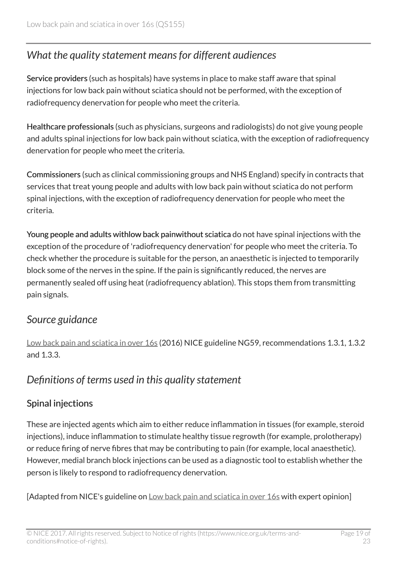# <span id="page-18-0"></span>*What the quality statement means for different audiences*

Service providers (such as hospitals) have systems in place to make staff aware that spinal injections for low back pain without sciatica should not be performed, with the exception of radiofrequency denervation for people who meet the criteria.

Healthcare professionals (such as physicians, surgeons and radiologists) do not give young people and adults spinal injections for low back pain without sciatica, with the exception of radiofrequency denervation for people who meet the criteria.

Commissioners (such as clinical commissioning groups and NHS England) specify in contracts that services that treat young people and adults with low back pain without sciatica do not perform spinal injections, with the exception of radiofrequency denervation for people who meet the criteria.

Young people and adults withlow back painwithout sciatica do not have spinal injections with the exception of the procedure of 'radiofrequency denervation' for people who meet the criteria. To check whether the procedure is suitable for the person, an anaesthetic is injected to temporarily block some of the nerves in the spine. If the pain is significantly reduced, the nerves are permanently sealed off using heat (radiofrequency ablation). This stops them from transmitting pain signals.

### <span id="page-18-1"></span>*Source guidance*

[Low back pain and sciatica in over 16s](http://www.nice.org.uk/guidance/ng59) (2016) NICE guideline NG59, recommendations 1.3.1, 1.3.2 and 1.3.3.

### <span id="page-18-2"></span>*Definitions of terms used in this quality statement*

### Spinal injections

These are injected agents which aim to either reduce inflammation in tissues (for example, steroid injections), induce inflammation to stimulate healthy tissue regrowth (for example, prolotherapy) or reduce firing of nerve fibres that may be contributing to pain (for example, local anaesthetic). However, medial branch block injections can be used as a diagnostic tool to establish whether the person is likely to respond to radiofrequency denervation.

[Adapted from NICE's guideline on [Low back pain and sciatica in over 16s](http://www.nice.org.uk/guidance/ng59) with expert opinion]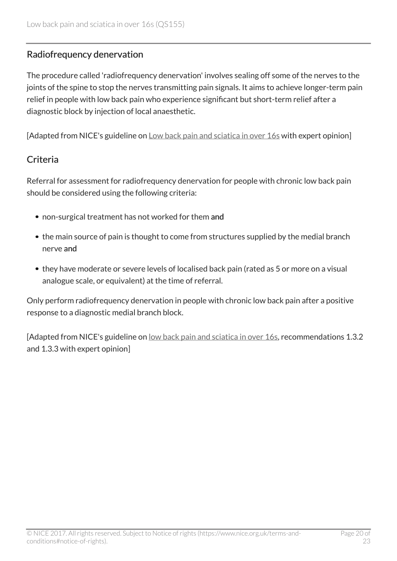#### Radiofrequency denervation

The procedure called 'radiofrequency denervation' involves sealing off some of the nerves to the joints of the spine to stop the nerves transmitting pain signals. It aims to achieve longer-term pain relief in people with low back pain who experience significant but short-term relief after a diagnostic block by injection of local anaesthetic.

[Adapted from NICE's guideline on [Low back pain and sciatica in over 16s](http://www.nice.org.uk/guidance/ng59) with expert opinion]

#### Criteria

Referral for assessment for radiofrequency denervation for people with chronic low back pain should be considered using the following criteria:

- non-surgical treatment has not worked for them and
- the main source of pain is thought to come from structures supplied by the medial branch nerve and
- they have moderate or severe levels of localised back pain (rated as 5 or more on a visual analogue scale, or equivalent) at the time of referral.

Only perform radiofrequency denervation in people with chronic low back pain after a positive response to a diagnostic medial branch block.

[Adapted from NICE's guideline on [low back pain and sciatica in over 16s](http://www.nice.org.uk/guidance/ng59), recommendations 1.3.2 and 1.3.3 with expert opinion]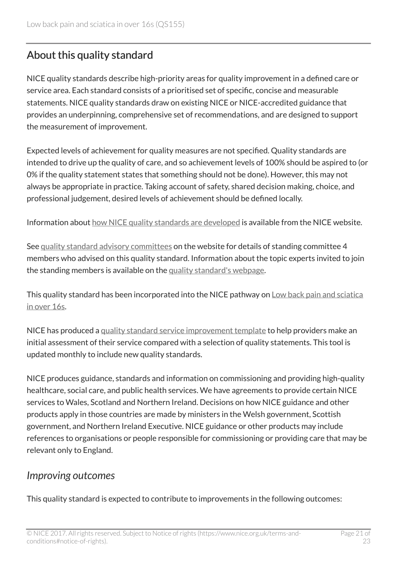# <span id="page-20-0"></span>About this quality standard

NICE quality standards describe high-priority areas for quality improvement in a defined care or service area. Each standard consists of a prioritised set of specific, concise and measurable statements. NICE quality standards draw on existing NICE or NICE-accredited guidance that provides an underpinning, comprehensive set of recommendations, and are designed to support the measurement of improvement.

Expected levels of achievement for quality measures are not specified. Quality standards are intended to drive up the quality of care, and so achievement levels of 100% should be aspired to (or 0% if the quality statement states that something should not be done). However, this may not always be appropriate in practice. Taking account of safety, shared decision making, choice, and professional judgement, desired levels of achievement should be defined locally.

Information about [how NICE quality standards are developed](https://www.nice.org.uk/standards-and-indicators/timeline-developing-quality-standards) is available from the NICE website.

See [quality standard advisory committees](http://www.nice.org.uk/Get-Involved/Meetings-in-public/Quality-Standards-Advisory-Committee) on the website for details of standing committee 4 members who advised on this quality standard. Information about the topic experts invited to join the standing members is available on the [quality standard's webpage](https://www.nice.org.uk/guidance/qs155/documents).

This quality standard has been incorporated into the NICE pathway on [Low back pain and sciatica](https://pathways.nice.org.uk/pathways/low-back-pain-and-sciatica) [in over 16s](https://pathways.nice.org.uk/pathways/low-back-pain-and-sciatica).

NICE has produced a [quality standard service improvement template](http://www.nice.org.uk/guidance/qs155/resources) to help providers make an initial assessment of their service compared with a selection of quality statements. This tool is updated monthly to include new quality standards.

NICE produces guidance, standards and information on commissioning and providing high-quality healthcare, social care, and public health services. We have agreements to provide certain NICE services to Wales, Scotland and Northern Ireland. Decisions on how NICE guidance and other products apply in those countries are made by ministers in the Welsh government, Scottish government, and Northern Ireland Executive. NICE guidance or other products may include references to organisations or people responsible for commissioning or providing care that may be relevant only to England.

### <span id="page-20-1"></span>*Improving outcomes*

This quality standard is expected to contribute to improvements in the following outcomes: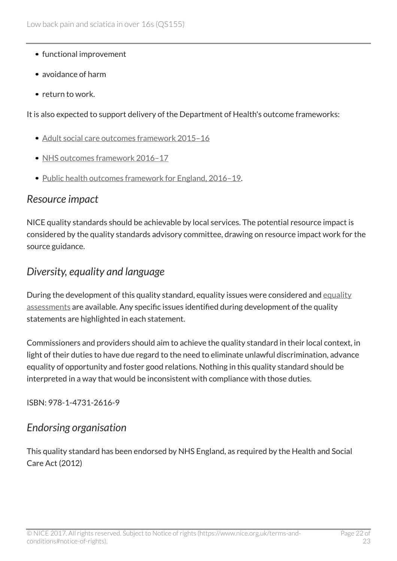- functional improvement
- avoidance of harm
- return to work.

It is also expected to support delivery of the Department of Health's outcome frameworks:

- [Adult social care outcomes framework 2015–16](https://www.gov.uk/government/publications/adult-social-care-outcomes-framework-ascof-2015-to-2016)
- NHS outcomes framework 2016-17
- Public health outcomes framework for England, 2016-19.

#### <span id="page-21-0"></span>*Resource impact*

NICE quality standards should be achievable by local services. The potential resource impact is considered by the quality standards advisory committee, drawing on resource impact work for the source guidance.

### <span id="page-21-1"></span>*Diversity, equality and language*

During the development of this quality standard, [equality](https://www.nice.org.uk/guidance/qs155/documents) issues were considered and equality [assessments](https://www.nice.org.uk/guidance/qs155/documents) are available. Any specific issues identified during development of the quality statements are highlighted in each statement.

Commissioners and providers should aim to achieve the quality standard in their local context, in light of their duties to have due regard to the need to eliminate unlawful discrimination, advance equality of opportunity and foster good relations. Nothing in this quality standard should be interpreted in a way that would be inconsistent with compliance with those duties.

ISBN: 978-1-4731-2616-9

### *Endorsing organisation*

This quality standard has been endorsed by NHS England, as required by the Health and Social Care Act (2012)